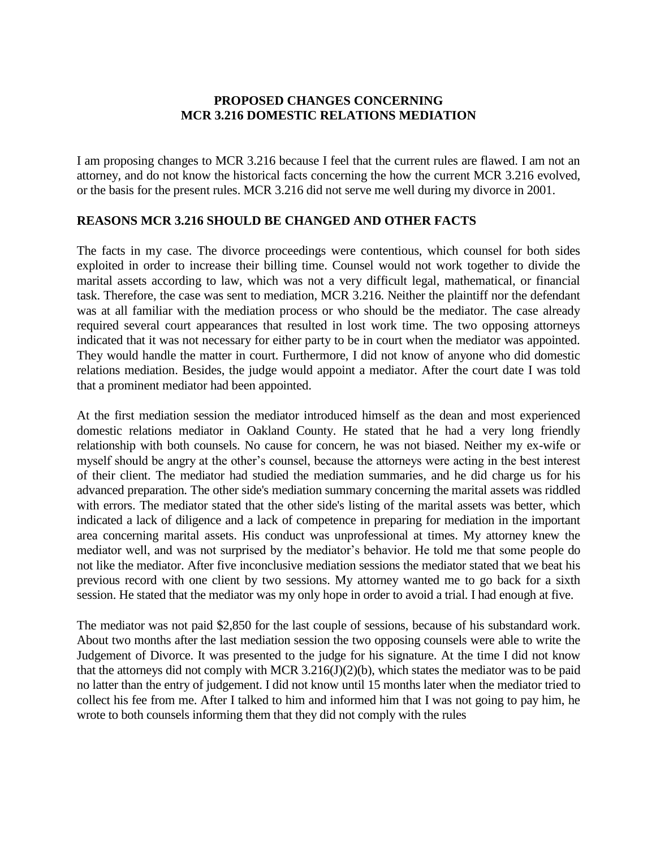#### **PROPOSED CHANGES CONCERNING MCR 3.216 DOMESTIC RELATIONS MEDIATION**

I am proposing changes to MCR 3.216 because I feel that the current rules are flawed. I am not an attorney, and do not know the historical facts concerning the how the current MCR 3.216 evolved, or the basis for the present rules. MCR 3.216 did not serve me well during my divorce in 2001.

#### **REASONS MCR 3.216 SHOULD BE CHANGED AND OTHER FACTS**

The facts in my case. The divorce proceedings were contentious, which counsel for both sides exploited in order to increase their billing time. Counsel would not work together to divide the marital assets according to law, which was not a very difficult legal, mathematical, or financial task. Therefore, the case was sent to mediation, MCR 3.216. Neither the plaintiff nor the defendant was at all familiar with the mediation process or who should be the mediator. The case already required several court appearances that resulted in lost work time. The two opposing attorneys indicated that it was not necessary for either party to be in court when the mediator was appointed. They would handle the matter in court. Furthermore, I did not know of anyone who did domestic relations mediation. Besides, the judge would appoint a mediator. After the court date I was told that a prominent mediator had been appointed.

At the first mediation session the mediator introduced himself as the dean and most experienced domestic relations mediator in Oakland County. He stated that he had a very long friendly relationship with both counsels. No cause for concern, he was not biased. Neither my ex-wife or myself should be angry at the other's counsel, because the attorneys were acting in the best interest of their client. The mediator had studied the mediation summaries, and he did charge us for his advanced preparation. The other side's mediation summary concerning the marital assets was riddled with errors. The mediator stated that the other side's listing of the marital assets was better, which indicated a lack of diligence and a lack of competence in preparing for mediation in the important area concerning marital assets. His conduct was unprofessional at times. My attorney knew the mediator well, and was not surprised by the mediator's behavior. He told me that some people do not like the mediator. After five inconclusive mediation sessions the mediator stated that we beat his previous record with one client by two sessions. My attorney wanted me to go back for a sixth session. He stated that the mediator was my only hope in order to avoid a trial. I had enough at five.

The mediator was not paid \$2,850 for the last couple of sessions, because of his substandard work. About two months after the last mediation session the two opposing counsels were able to write the Judgement of Divorce. It was presented to the judge for his signature. At the time I did not know that the attorneys did not comply with MCR  $3.216(J)(2)(b)$ , which states the mediator was to be paid no latter than the entry of judgement. I did not know until 15 months later when the mediator tried to collect his fee from me. After I talked to him and informed him that I was not going to pay him, he wrote to both counsels informing them that they did not comply with the rules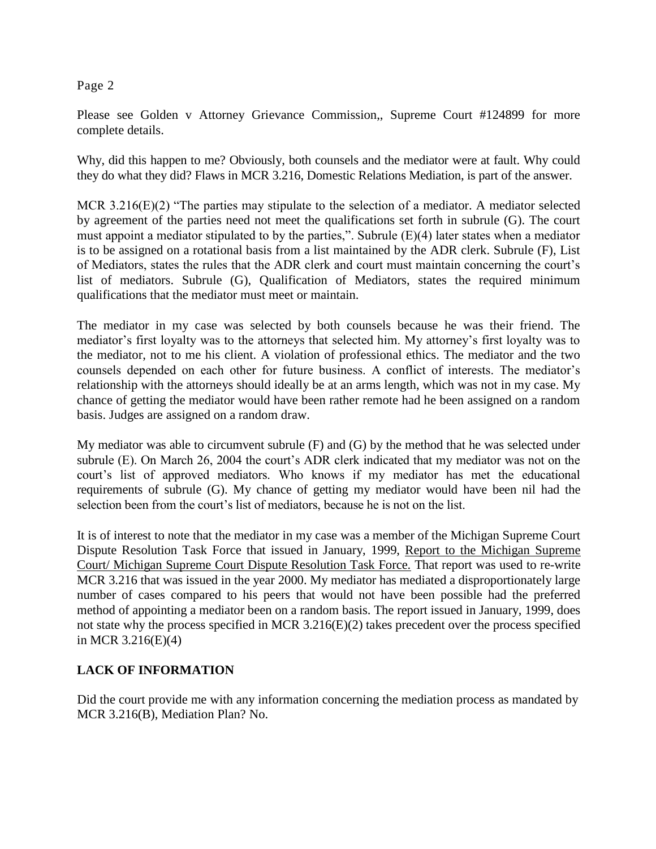Please see Golden v Attorney Grievance Commission,, Supreme Court #124899 for more complete details.

Why, did this happen to me? Obviously, both counsels and the mediator were at fault. Why could they do what they did? Flaws in MCR 3.216, Domestic Relations Mediation, is part of the answer.

MCR 3.216(E)(2) "The parties may stipulate to the selection of a mediator. A mediator selected by agreement of the parties need not meet the qualifications set forth in subrule (G). The court must appoint a mediator stipulated to by the parties,". Subrule  $(E)(4)$  later states when a mediator is to be assigned on a rotational basis from a list maintained by the ADR clerk. Subrule (F), List of Mediators, states the rules that the ADR clerk and court must maintain concerning the court's list of mediators. Subrule (G), Qualification of Mediators, states the required minimum qualifications that the mediator must meet or maintain.

The mediator in my case was selected by both counsels because he was their friend. The mediator's first loyalty was to the attorneys that selected him. My attorney's first loyalty was to the mediator, not to me his client. A violation of professional ethics. The mediator and the two counsels depended on each other for future business. A conflict of interests. The mediator's relationship with the attorneys should ideally be at an arms length, which was not in my case. My chance of getting the mediator would have been rather remote had he been assigned on a random basis. Judges are assigned on a random draw.

My mediator was able to circumvent subrule (F) and (G) by the method that he was selected under subrule (E). On March 26, 2004 the court's ADR clerk indicated that my mediator was not on the court's list of approved mediators. Who knows if my mediator has met the educational requirements of subrule (G). My chance of getting my mediator would have been nil had the selection been from the court's list of mediators, because he is not on the list.

It is of interest to note that the mediator in my case was a member of the Michigan Supreme Court Dispute Resolution Task Force that issued in January, 1999, Report to the Michigan Supreme Court/ Michigan Supreme Court Dispute Resolution Task Force. That report was used to re-write MCR 3.216 that was issued in the year 2000. My mediator has mediated a disproportionately large number of cases compared to his peers that would not have been possible had the preferred method of appointing a mediator been on a random basis. The report issued in January, 1999, does not state why the process specified in MCR 3.216(E)(2) takes precedent over the process specified in MCR 3.216(E)(4)

# **LACK OF INFORMATION**

Did the court provide me with any information concerning the mediation process as mandated by MCR 3.216(B), Mediation Plan? No.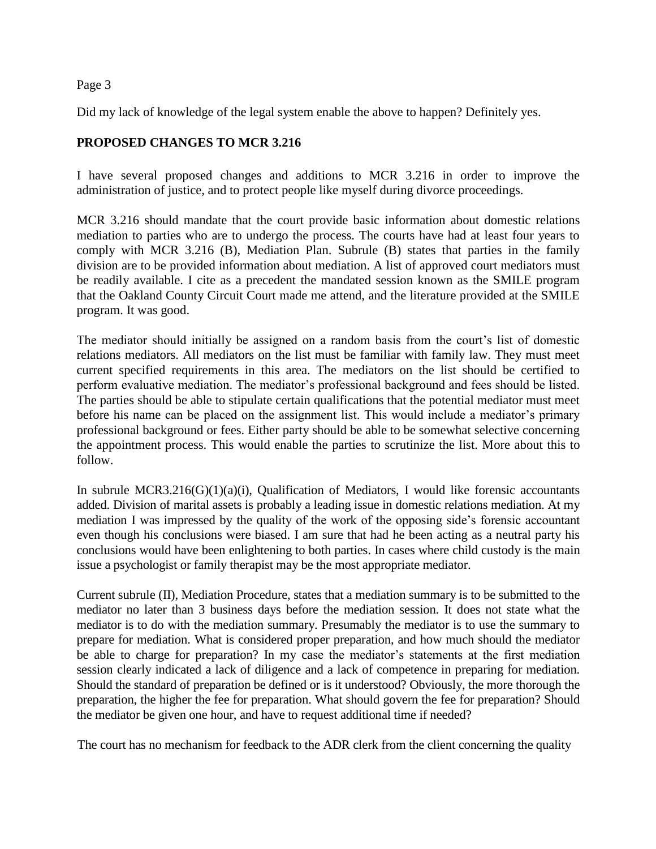Did my lack of knowledge of the legal system enable the above to happen? Definitely yes.

# **PROPOSED CHANGES TO MCR 3.216**

I have several proposed changes and additions to MCR 3.216 in order to improve the administration of justice, and to protect people like myself during divorce proceedings.

MCR 3.216 should mandate that the court provide basic information about domestic relations mediation to parties who are to undergo the process. The courts have had at least four years to comply with MCR 3.216 (B), Mediation Plan. Subrule (B) states that parties in the family division are to be provided information about mediation. A list of approved court mediators must be readily available. I cite as a precedent the mandated session known as the SMILE program that the Oakland County Circuit Court made me attend, and the literature provided at the SMILE program. It was good.

The mediator should initially be assigned on a random basis from the court's list of domestic relations mediators. All mediators on the list must be familiar with family law. They must meet current specified requirements in this area. The mediators on the list should be certified to perform evaluative mediation. The mediator's professional background and fees should be listed. The parties should be able to stipulate certain qualifications that the potential mediator must meet before his name can be placed on the assignment list. This would include a mediator's primary professional background or fees. Either party should be able to be somewhat selective concerning the appointment process. This would enable the parties to scrutinize the list. More about this to follow.

In subrule MCR3.216 $(G)(1)(a)(i)$ , Qualification of Mediators, I would like forensic accountants added. Division of marital assets is probably a leading issue in domestic relations mediation. At my mediation I was impressed by the quality of the work of the opposing side's forensic accountant even though his conclusions were biased. I am sure that had he been acting as a neutral party his conclusions would have been enlightening to both parties. In cases where child custody is the main issue a psychologist or family therapist may be the most appropriate mediator.

Current subrule (II), Mediation Procedure, states that a mediation summary is to be submitted to the mediator no later than 3 business days before the mediation session. It does not state what the mediator is to do with the mediation summary. Presumably the mediator is to use the summary to prepare for mediation. What is considered proper preparation, and how much should the mediator be able to charge for preparation? In my case the mediator's statements at the first mediation session clearly indicated a lack of diligence and a lack of competence in preparing for mediation. Should the standard of preparation be defined or is it understood? Obviously, the more thorough the preparation, the higher the fee for preparation. What should govern the fee for preparation? Should the mediator be given one hour, and have to request additional time if needed?

The court has no mechanism for feedback to the ADR clerk from the client concerning the quality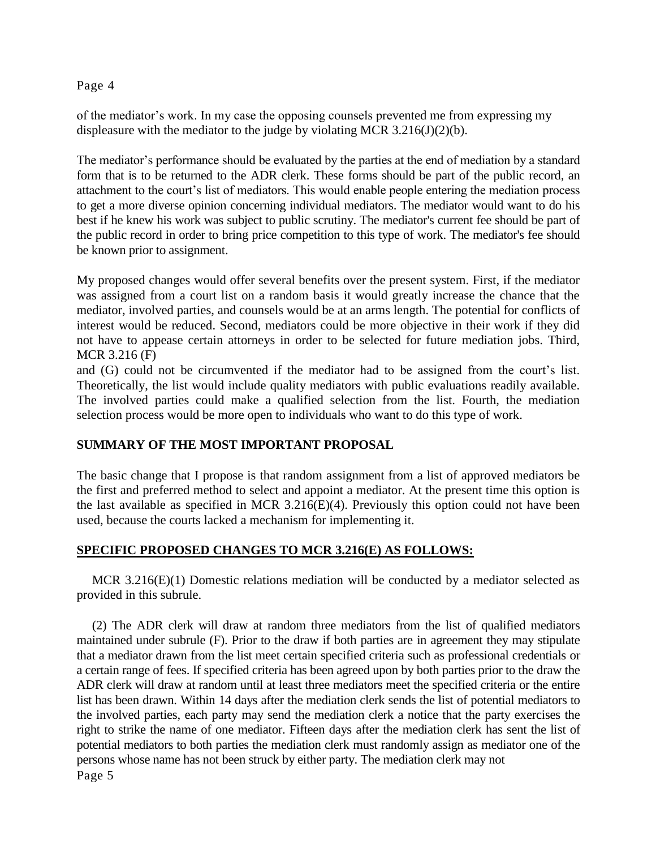of the mediator's work. In my case the opposing counsels prevented me from expressing my displeasure with the mediator to the judge by violating MCR  $3.216(J)(2)(b)$ .

The mediator's performance should be evaluated by the parties at the end of mediation by a standard form that is to be returned to the ADR clerk. These forms should be part of the public record, an attachment to the court's list of mediators. This would enable people entering the mediation process to get a more diverse opinion concerning individual mediators. The mediator would want to do his best if he knew his work was subject to public scrutiny. The mediator's current fee should be part of the public record in order to bring price competition to this type of work. The mediator's fee should be known prior to assignment.

My proposed changes would offer several benefits over the present system. First, if the mediator was assigned from a court list on a random basis it would greatly increase the chance that the mediator, involved parties, and counsels would be at an arms length. The potential for conflicts of interest would be reduced. Second, mediators could be more objective in their work if they did not have to appease certain attorneys in order to be selected for future mediation jobs. Third, MCR 3.216 (F)

and (G) could not be circumvented if the mediator had to be assigned from the court's list. Theoretically, the list would include quality mediators with public evaluations readily available. The involved parties could make a qualified selection from the list. Fourth, the mediation selection process would be more open to individuals who want to do this type of work.

# **SUMMARY OF THE MOST IMPORTANT PROPOSAL**

The basic change that I propose is that random assignment from a list of approved mediators be the first and preferred method to select and appoint a mediator. At the present time this option is the last available as specified in MCR 3.216(E)(4). Previously this option could not have been used, because the courts lacked a mechanism for implementing it.

# **SPECIFIC PROPOSED CHANGES TO MCR 3.216(E) AS FOLLOWS:**

MCR  $3.216(E)(1)$  Domestic relations mediation will be conducted by a mediator selected as provided in this subrule.

(2) The ADR clerk will draw at random three mediators from the list of qualified mediators maintained under subrule (F). Prior to the draw if both parties are in agreement they may stipulate that a mediator drawn from the list meet certain specified criteria such as professional credentials or a certain range of fees. If specified criteria has been agreed upon by both parties prior to the draw the ADR clerk will draw at random until at least three mediators meet the specified criteria or the entire list has been drawn. Within 14 days after the mediation clerk sends the list of potential mediators to the involved parties, each party may send the mediation clerk a notice that the party exercises the right to strike the name of one mediator. Fifteen days after the mediation clerk has sent the list of potential mediators to both parties the mediation clerk must randomly assign as mediator one of the persons whose name has not been struck by either party. The mediation clerk may not Page 5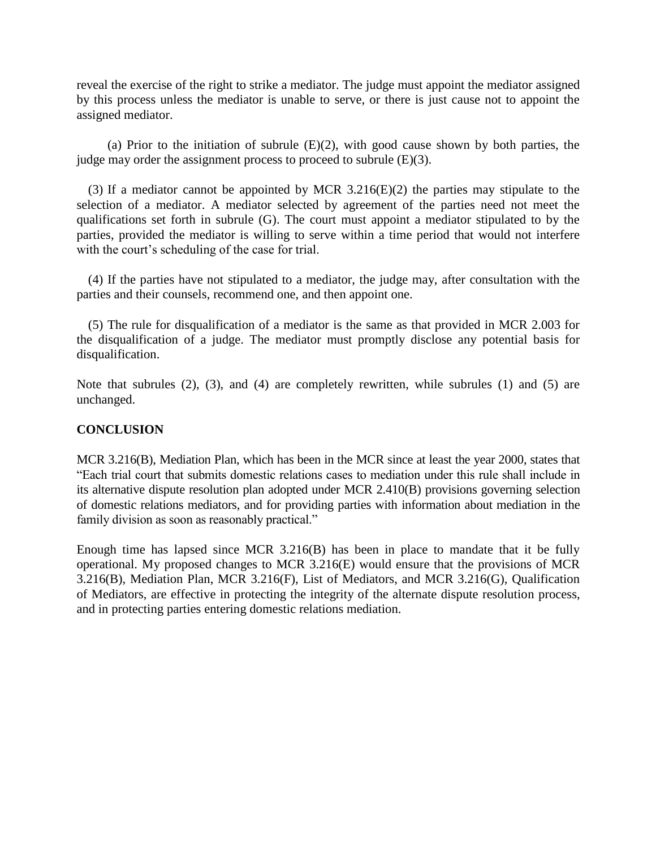reveal the exercise of the right to strike a mediator. The judge must appoint the mediator assigned by this process unless the mediator is unable to serve, or there is just cause not to appoint the assigned mediator.

(a) Prior to the initiation of subrule  $(E)(2)$ , with good cause shown by both parties, the judge may order the assignment process to proceed to subrule  $(E)(3)$ .

(3) If a mediator cannot be appointed by MCR 3.216(E)(2) the parties may stipulate to the selection of a mediator. A mediator selected by agreement of the parties need not meet the qualifications set forth in subrule (G). The court must appoint a mediator stipulated to by the parties, provided the mediator is willing to serve within a time period that would not interfere with the court's scheduling of the case for trial.

(4) If the parties have not stipulated to a mediator, the judge may, after consultation with the parties and their counsels, recommend one, and then appoint one.

(5) The rule for disqualification of a mediator is the same as that provided in MCR 2.003 for the disqualification of a judge. The mediator must promptly disclose any potential basis for disqualification.

Note that subrules (2), (3), and (4) are completely rewritten, while subrules (1) and (5) are unchanged.

# **CONCLUSION**

MCR 3.216(B), Mediation Plan, which has been in the MCR since at least the year 2000, states that "Each trial court that submits domestic relations cases to mediation under this rule shall include in its alternative dispute resolution plan adopted under MCR 2.410(B) provisions governing selection of domestic relations mediators, and for providing parties with information about mediation in the family division as soon as reasonably practical."

Enough time has lapsed since MCR 3.216(B) has been in place to mandate that it be fully operational. My proposed changes to MCR 3.216(E) would ensure that the provisions of MCR 3.216(B), Mediation Plan, MCR 3.216(F), List of Mediators, and MCR 3.216(G), Qualification of Mediators, are effective in protecting the integrity of the alternate dispute resolution process, and in protecting parties entering domestic relations mediation.